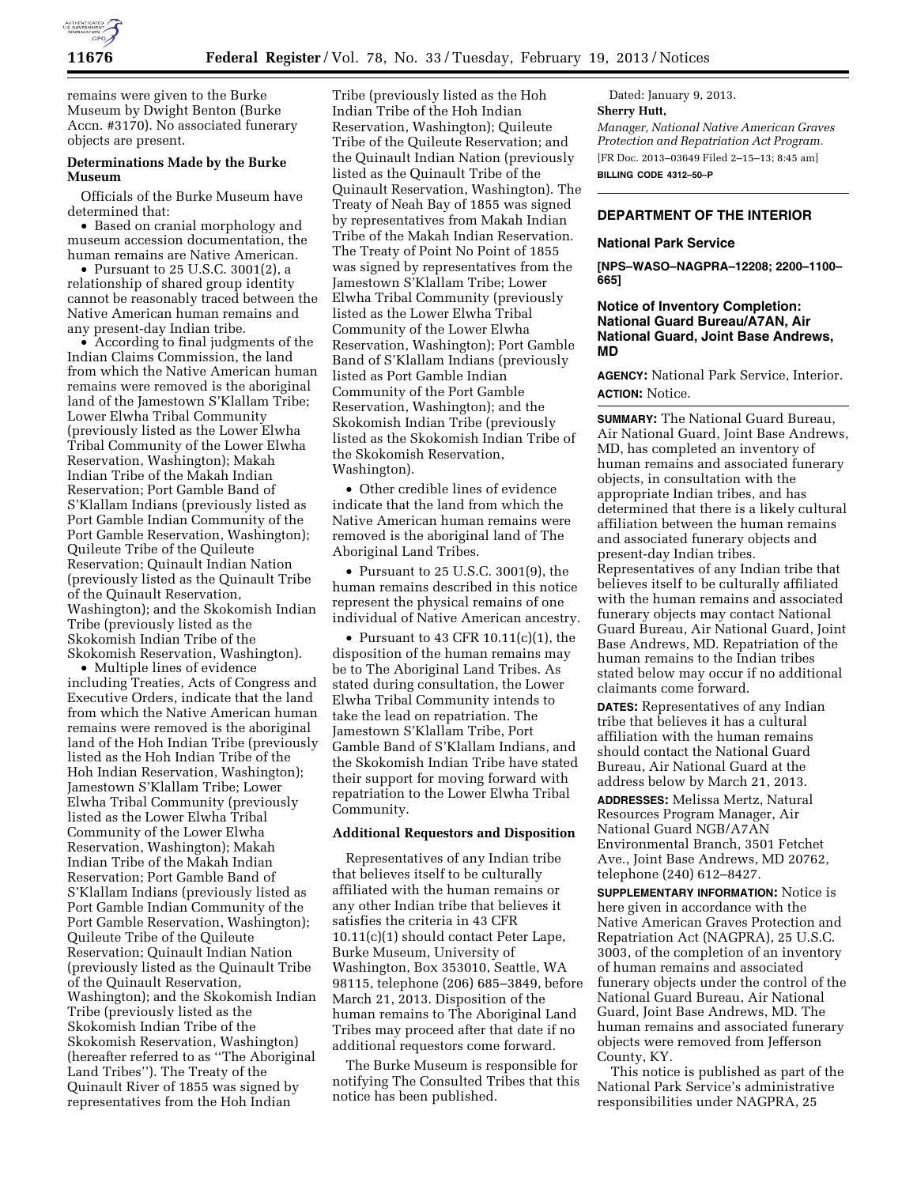

remains were given to the Burke Museum by Dwight Benton (Burke Accn. #3170). No associated funerary objects are present.

# **Determinations Made by the Burke Museum**

Officials of the Burke Museum have determined that:

• Based on cranial morphology and museum accession documentation, the human remains are Native American.

• Pursuant to 25 U.S.C. 3001(2), a relationship of shared group identity cannot be reasonably traced between the Native American human remains and any present-day Indian tribe.

• According to final judgments of the Indian Claims Commission, the land from which the Native American human remains were removed is the aboriginal land of the Jamestown S'Klallam Tribe; Lower Elwha Tribal Community (previously listed as the Lower Elwha Tribal Community of the Lower Elwha Reservation, Washington); Makah Indian Tribe of the Makah Indian Reservation; Port Gamble Band of S'Klallam Indians (previously listed as Port Gamble Indian Community of the Port Gamble Reservation, Washington); Quileute Tribe of the Quileute Reservation; Quinault Indian Nation (previously listed as the Quinault Tribe of the Quinault Reservation, Washington); and the Skokomish Indian Tribe (previously listed as the Skokomish Indian Tribe of the Skokomish Reservation, Washington).

• Multiple lines of evidence including Treaties, Acts of Congress and Executive Orders, indicate that the land from which the Native American human remains were removed is the aboriginal land of the Hoh Indian Tribe (previously listed as the Hoh Indian Tribe of the Hoh Indian Reservation, Washington); Jamestown S'Klallam Tribe; Lower Elwha Tribal Community (previously listed as the Lower Elwha Tribal Community of the Lower Elwha Reservation, Washington); Makah Indian Tribe of the Makah Indian Reservation; Port Gamble Band of S'Klallam Indians (previously listed as Port Gamble Indian Community of the Port Gamble Reservation, Washington); Quileute Tribe of the Quileute Reservation; Quinault Indian Nation (previously listed as the Quinault Tribe of the Quinault Reservation, Washington); and the Skokomish Indian Tribe (previously listed as the Skokomish Indian Tribe of the Skokomish Reservation, Washington) (hereafter referred to as ''The Aboriginal Land Tribes''). The Treaty of the Quinault River of 1855 was signed by representatives from the Hoh Indian

Tribe (previously listed as the Hoh Indian Tribe of the Hoh Indian Reservation, Washington); Quileute Tribe of the Quileute Reservation; and the Quinault Indian Nation (previously listed as the Quinault Tribe of the Quinault Reservation, Washington). The Treaty of Neah Bay of 1855 was signed by representatives from Makah Indian Tribe of the Makah Indian Reservation. The Treaty of Point No Point of 1855 was signed by representatives from the Jamestown S'Klallam Tribe; Lower Elwha Tribal Community (previously listed as the Lower Elwha Tribal Community of the Lower Elwha Reservation, Washington); Port Gamble Band of S'Klallam Indians (previously listed as Port Gamble Indian Community of the Port Gamble Reservation, Washington); and the Skokomish Indian Tribe (previously listed as the Skokomish Indian Tribe of the Skokomish Reservation, Washington).

• Other credible lines of evidence indicate that the land from which the Native American human remains were removed is the aboriginal land of The Aboriginal Land Tribes.

• Pursuant to 25 U.S.C. 3001(9), the human remains described in this notice represent the physical remains of one individual of Native American ancestry.

• Pursuant to 43 CFR 10.11(c)(1), the disposition of the human remains may be to The Aboriginal Land Tribes. As stated during consultation, the Lower Elwha Tribal Community intends to take the lead on repatriation. The Jamestown S'Klallam Tribe, Port Gamble Band of S'Klallam Indians, and the Skokomish Indian Tribe have stated their support for moving forward with repatriation to the Lower Elwha Tribal Community.

### **Additional Requestors and Disposition**

Representatives of any Indian tribe that believes itself to be culturally affiliated with the human remains or any other Indian tribe that believes it satisfies the criteria in 43 CFR 10.11(c)(1) should contact Peter Lape, Burke Museum, University of Washington, Box 353010, Seattle, WA 98115, telephone (206) 685–3849, before March 21, 2013. Disposition of the human remains to The Aboriginal Land Tribes may proceed after that date if no additional requestors come forward.

The Burke Museum is responsible for notifying The Consulted Tribes that this notice has been published.

Dated: January 9, 2013. **Sherry Hutt,**  *Manager, National Native American Graves Protection and Repatriation Act Program.*  [FR Doc. 2013–03649 Filed 2–15–13; 8:45 am] **BILLING CODE 4312–50–P** 

# **DEPARTMENT OF THE INTERIOR**

#### **National Park Service**

**[NPS–WASO–NAGPRA–12208; 2200–1100– 665]** 

### **Notice of Inventory Completion: National Guard Bureau/A7AN, Air National Guard, Joint Base Andrews, MD**

**AGENCY:** National Park Service, Interior. **ACTION:** Notice.

**SUMMARY:** The National Guard Bureau, Air National Guard, Joint Base Andrews, MD, has completed an inventory of human remains and associated funerary objects, in consultation with the appropriate Indian tribes, and has determined that there is a likely cultural affiliation between the human remains and associated funerary objects and present-day Indian tribes. Representatives of any Indian tribe that believes itself to be culturally affiliated with the human remains and associated funerary objects may contact National Guard Bureau, Air National Guard, Joint Base Andrews, MD. Repatriation of the human remains to the Indian tribes stated below may occur if no additional claimants come forward.

**DATES:** Representatives of any Indian tribe that believes it has a cultural affiliation with the human remains should contact the National Guard Bureau, Air National Guard at the address below by March 21, 2013.

**ADDRESSES:** Melissa Mertz, Natural Resources Program Manager, Air National Guard NGB/A7AN Environmental Branch, 3501 Fetchet Ave., Joint Base Andrews, MD 20762, telephone (240) 612–8427.

**SUPPLEMENTARY INFORMATION:** Notice is here given in accordance with the Native American Graves Protection and Repatriation Act (NAGPRA), 25 U.S.C. 3003, of the completion of an inventory of human remains and associated funerary objects under the control of the National Guard Bureau, Air National Guard, Joint Base Andrews, MD. The human remains and associated funerary objects were removed from Jefferson County, KY.

This notice is published as part of the National Park Service's administrative responsibilities under NAGPRA, 25